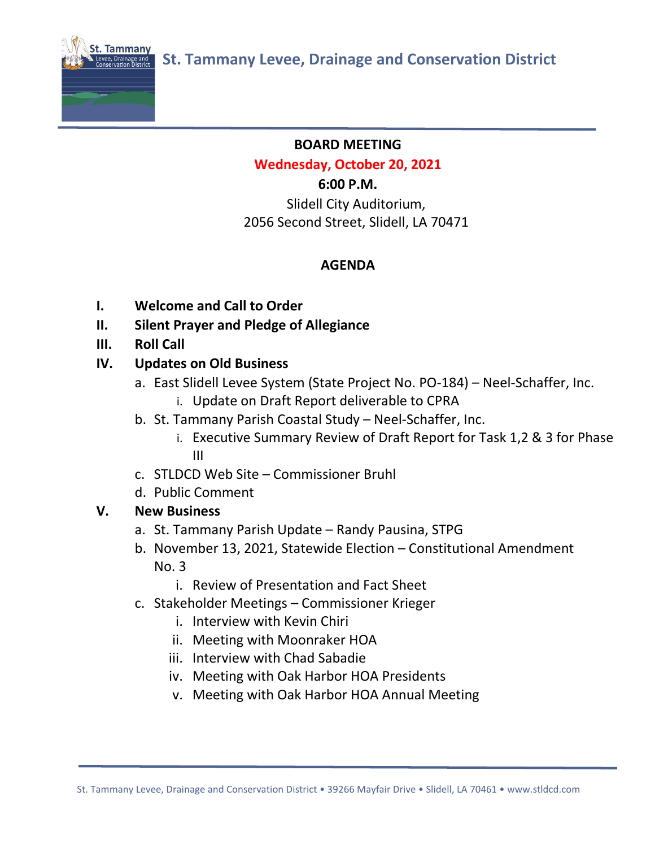

#### **BOARD MEETING**

#### **Wednesday, October 20, 2021**

#### **6:00 P.M.**

Slidell City Auditorium, 2056 Second Street, Slidell, LA 70471

# **AGENDA**

- **I. Welcome and Call to Order**
- **II. Silent Prayer and Pledge of Allegiance**
- **III. Roll Call**

# **IV. Updates on Old Business**

- a. East Slidell Levee System (State Project No. PO-184) Neel-Schaffer, Inc.
	- i. Update on Draft Report deliverable to CPRA
- b. St. Tammany Parish Coastal Study Neel-Schaffer, Inc.
	- i. Executive Summary Review of Draft Report for Task 1,2 & 3 for Phase III
- c. STLDCD Web Site Commissioner Bruhl
- d. Public Comment

#### **V. New Business**

- a. St. Tammany Parish Update Randy Pausina, STPG
- b. November 13, 2021, Statewide Election Constitutional Amendment No. 3
	- i. Review of Presentation and Fact Sheet
- c. Stakeholder Meetings Commissioner Krieger
	- i. Interview with Kevin Chiri
	- ii. Meeting with Moonraker HOA
	- iii. Interview with Chad Sabadie
	- iv. Meeting with Oak Harbor HOA Presidents
	- v. Meeting with Oak Harbor HOA Annual Meeting